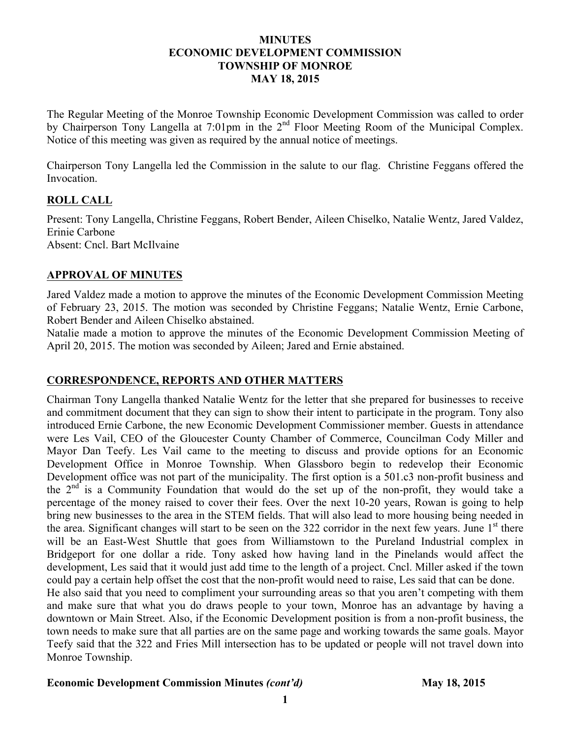#### **MINUTES ECONOMIC DEVELOPMENT COMMISSION TOWNSHIP OF MONROE MAY 18, 2015**

The Regular Meeting of the Monroe Township Economic Development Commission was called to order by Chairperson Tony Langella at 7:01pm in the 2<sup>nd</sup> Floor Meeting Room of the Municipal Complex. Notice of this meeting was given as required by the annual notice of meetings.

Chairperson Tony Langella led the Commission in the salute to our flag. Christine Feggans offered the Invocation.

## **ROLL CALL**

Present: Tony Langella, Christine Feggans, Robert Bender, Aileen Chiselko, Natalie Wentz, Jared Valdez, Erinie Carbone Absent: Cncl. Bart McIlvaine

## **APPROVAL OF MINUTES**

Jared Valdez made a motion to approve the minutes of the Economic Development Commission Meeting of February 23, 2015. The motion was seconded by Christine Feggans; Natalie Wentz, Ernie Carbone, Robert Bender and Aileen Chiselko abstained.

Natalie made a motion to approve the minutes of the Economic Development Commission Meeting of April 20, 2015. The motion was seconded by Aileen; Jared and Ernie abstained.

### **CORRESPONDENCE, REPORTS AND OTHER MATTERS**

Chairman Tony Langella thanked Natalie Wentz for the letter that she prepared for businesses to receive and commitment document that they can sign to show their intent to participate in the program. Tony also introduced Ernie Carbone, the new Economic Development Commissioner member. Guests in attendance were Les Vail, CEO of the Gloucester County Chamber of Commerce, Councilman Cody Miller and Mayor Dan Teefy. Les Vail came to the meeting to discuss and provide options for an Economic Development Office in Monroe Township. When Glassboro begin to redevelop their Economic Development office was not part of the municipality. The first option is a 501.c3 non-profit business and the  $2<sup>nd</sup>$  is a Community Foundation that would do the set up of the non-profit, they would take a percentage of the money raised to cover their fees. Over the next 10-20 years, Rowan is going to help bring new businesses to the area in the STEM fields. That will also lead to more housing being needed in the area. Significant changes will start to be seen on the 322 corridor in the next few years. June  $1<sup>st</sup>$  there will be an East-West Shuttle that goes from Williamstown to the Pureland Industrial complex in Bridgeport for one dollar a ride. Tony asked how having land in the Pinelands would affect the development, Les said that it would just add time to the length of a project. Cncl. Miller asked if the town could pay a certain help offset the cost that the non-profit would need to raise, Les said that can be done. He also said that you need to compliment your surrounding areas so that you aren't competing with them and make sure that what you do draws people to your town, Monroe has an advantage by having a downtown or Main Street. Also, if the Economic Development position is from a non-profit business, the town needs to make sure that all parties are on the same page and working towards the same goals. Mayor Teefy said that the 322 and Fries Mill intersection has to be updated or people will not travel down into Monroe Township.

### **Economic Development Commission Minutes** *(cont'd)* **May 18, 2015**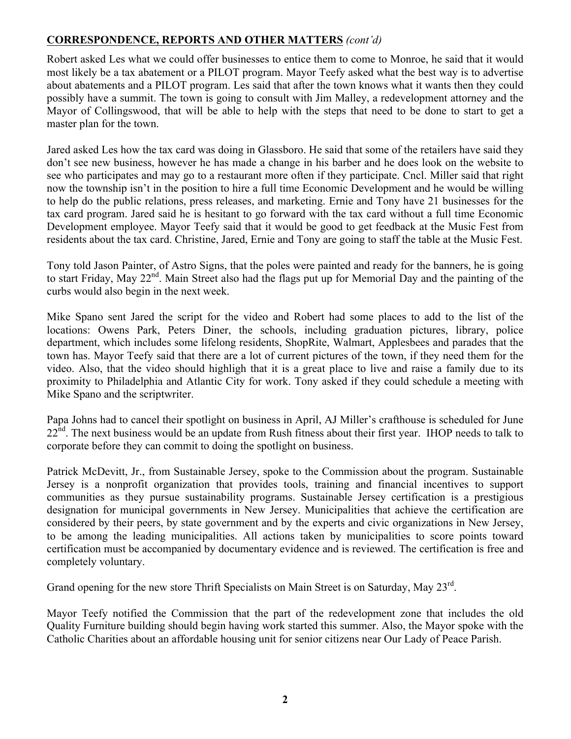# **CORRESPONDENCE, REPORTS AND OTHER MATTERS** *(cont'd)*

Robert asked Les what we could offer businesses to entice them to come to Monroe, he said that it would most likely be a tax abatement or a PILOT program. Mayor Teefy asked what the best way is to advertise about abatements and a PILOT program. Les said that after the town knows what it wants then they could possibly have a summit. The town is going to consult with Jim Malley, a redevelopment attorney and the Mayor of Collingswood, that will be able to help with the steps that need to be done to start to get a master plan for the town.

Jared asked Les how the tax card was doing in Glassboro. He said that some of the retailers have said they don't see new business, however he has made a change in his barber and he does look on the website to see who participates and may go to a restaurant more often if they participate. Cncl. Miller said that right now the township isn't in the position to hire a full time Economic Development and he would be willing to help do the public relations, press releases, and marketing. Ernie and Tony have 21 businesses for the tax card program. Jared said he is hesitant to go forward with the tax card without a full time Economic Development employee. Mayor Teefy said that it would be good to get feedback at the Music Fest from residents about the tax card. Christine, Jared, Ernie and Tony are going to staff the table at the Music Fest.

Tony told Jason Painter, of Astro Signs, that the poles were painted and ready for the banners, he is going to start Friday, May 22<sup>nd</sup>. Main Street also had the flags put up for Memorial Day and the painting of the curbs would also begin in the next week.

Mike Spano sent Jared the script for the video and Robert had some places to add to the list of the locations: Owens Park, Peters Diner, the schools, including graduation pictures, library, police department, which includes some lifelong residents, ShopRite, Walmart, Applesbees and parades that the town has. Mayor Teefy said that there are a lot of current pictures of the town, if they need them for the video. Also, that the video should highligh that it is a great place to live and raise a family due to its proximity to Philadelphia and Atlantic City for work. Tony asked if they could schedule a meeting with Mike Spano and the scriptwriter.

Papa Johns had to cancel their spotlight on business in April, AJ Miller's crafthouse is scheduled for June 22<sup>nd</sup>. The next business would be an update from Rush fitness about their first year. IHOP needs to talk to corporate before they can commit to doing the spotlight on business.

Patrick McDevitt, Jr., from Sustainable Jersey, spoke to the Commission about the program. Sustainable Jersey is a nonprofit organization that provides tools, training and financial incentives to support communities as they pursue sustainability programs. Sustainable Jersey certification is a prestigious designation for municipal governments in New Jersey. Municipalities that achieve the certification are considered by their peers, by state government and by the experts and civic organizations in New Jersey, to be among the leading municipalities. All actions taken by municipalities to score points toward certification must be accompanied by documentary evidence and is reviewed. The certification is free and completely voluntary.

Grand opening for the new store Thrift Specialists on Main Street is on Saturday, May 23rd.

Mayor Teefy notified the Commission that the part of the redevelopment zone that includes the old Quality Furniture building should begin having work started this summer. Also, the Mayor spoke with the Catholic Charities about an affordable housing unit for senior citizens near Our Lady of Peace Parish.